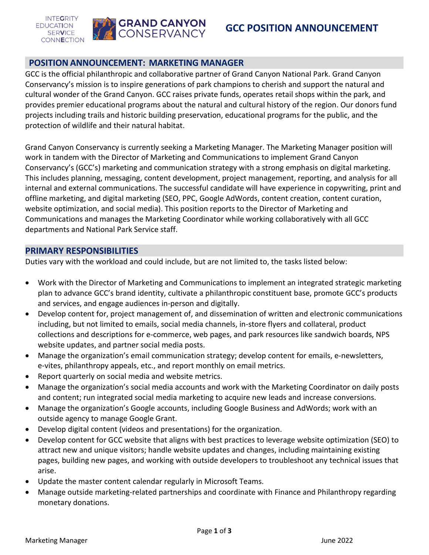

## **POSITIONANNOUNCEMENT: MARKETING MANAGER**

GCC is the official philanthropic and collaborative partner of Grand Canyon National Park. Grand Canyon Conservancy's mission is to inspire generations of park champions to cherish and support the natural and cultural wonder of the Grand Canyon. GCC raises private funds, operates retail shops within the park, and provides premier educational programs about the natural and cultural history of the region. Our donors fund projects including trails and historic building preservation, educational programs for the public, and the protection of wildlife and their natural habitat.

Grand Canyon Conservancy is currently seeking a Marketing Manager. The Marketing Manager position will work in tandem with the Director of Marketing and Communications to implement Grand Canyon Conservancy's (GCC's) marketing and communication strategy with a strong emphasis on digital marketing. This includes planning, messaging, content development, project management, reporting, and analysis for all internal and external communications. The successful candidate will have experience in copywriting, print and offline marketing, and digital marketing (SEO, PPC, Google AdWords, content creation, content curation, website optimization, and social media). This position reports to the Director of Marketing and Communications and manages the Marketing Coordinator while working collaboratively with all GCC departments and National Park Service staff.

### **PRIMARY RESPONSIBILITIES**

Duties vary with the workload and could include, but are not limited to, the tasks listed below:

- Work with the Director of Marketing and Communications to implement an integrated strategic marketing plan to advance GCC's brand identity, cultivate a philanthropic constituent base, promote GCC's products and services, and engage audiences in-person and digitally.
- Develop content for, project management of, and dissemination of written and electronic communications including, but not limited to emails, social media channels, in-store flyers and collateral, product collections and descriptions for e-commerce, web pages, and park resources like sandwich boards, NPS website updates, and partner social media posts.
- Manage the organization's email communication strategy; develop content for emails, e-newsletters, e-vites, philanthropy appeals, etc., and report monthly on email metrics.
- Report quarterly on social media and website metrics.
- Manage the organization's social media accounts and work with the Marketing Coordinator on daily posts and content; run integrated social media marketing to acquire new leads and increase conversions.
- Manage the organization's Google accounts, including Google Business and AdWords; work with an outside agency to manage Google Grant.
- Develop digital content (videos and presentations) for the organization.
- Develop content for GCC website that aligns with best practices to leverage website optimization (SEO) to attract new and unique visitors; handle website updates and changes, including maintaining existing pages, building new pages, and working with outside developers to troubleshoot any technical issues that arise.
- Update the master content calendar regularly in Microsoft Teams.
- Manage outside marketing-related partnerships and coordinate with Finance and Philanthropy regarding monetary donations.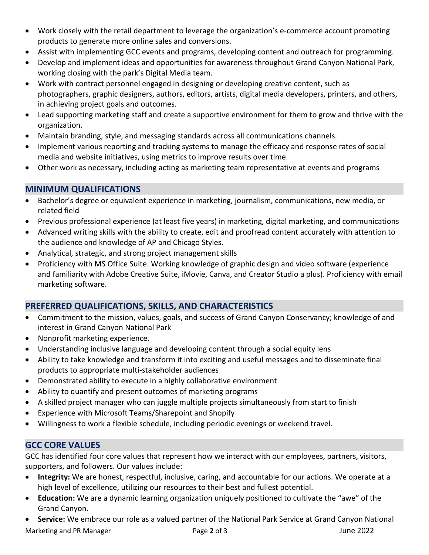- Work closely with the retail department to leverage the organization's e-commerce account promoting products to generate more online sales and conversions.
- Assist with implementing GCC events and programs, developing content and outreach for programming.
- Develop and implement ideas and opportunities for awareness throughout Grand Canyon National Park, working closing with the park's Digital Media team.
- Work with contract personnel engaged in designing or developing creative content, such as photographers, graphic designers, authors, editors, artists, digital media developers, printers, and others, in achieving project goals and outcomes.
- Lead supporting marketing staff and create a supportive environment for them to grow and thrive with the organization.
- Maintain branding, style, and messaging standards across all communications channels.
- Implement various reporting and tracking systems to manage the efficacy and response rates of social media and website initiatives, using metrics to improve results over time.
- Other work as necessary, including acting as marketing team representative at events and programs

# **MINIMUM QUALIFICATIONS**

- Bachelor's degree or equivalent experience in marketing, journalism, communications, new media, or related field
- Previous professional experience (at least five years) in marketing, digital marketing, and communications
- Advanced writing skills with the ability to create, edit and proofread content accurately with attention to the audience and knowledge of AP and Chicago Styles.
- Analytical, strategic, and strong project management skills
- Proficiency with MS Office Suite. Working knowledge of graphic design and video software (experience and familiarity with Adobe Creative Suite, iMovie, Canva, and Creator Studio a plus). Proficiency with email marketing software.

# **PREFERRED QUALIFICATIONS, SKILLS, AND CHARACTERISTICS**

- Commitment to the mission, values, goals, and success of Grand Canyon Conservancy; knowledge of and interest in Grand Canyon National Park
- Nonprofit marketing experience.
- Understanding inclusive language and developing content through a social equity lens
- Ability to take knowledge and transform it into exciting and useful messages and to disseminate final products to appropriate multi-stakeholder audiences
- Demonstrated ability to execute in a highly collaborative environment
- Ability to quantify and present outcomes of marketing programs
- A skilled project manager who can juggle multiple projects simultaneously from start to finish
- Experience with Microsoft Teams/Sharepoint and Shopify
- Willingness to work a flexible schedule, including periodic evenings or weekend travel.

# **GCC CORE VALUES**

GCC has identified four core values that represent how we interact with our employees, partners, visitors, supporters, and followers. Our values include:

- **Integrity:** We are honest, respectful, inclusive, caring, and accountable for our actions. We operate at a high level of excellence, utilizing our resources to their best and fullest potential.
- **Education:** We are a dynamic learning organization uniquely positioned to cultivate the "awe" of the Grand Canyon.
- **Service:** We embrace our role as a valued partner of the National Park Service at Grand Canyon National

Marketing and PR Manager Page **2** of 3 June 2022